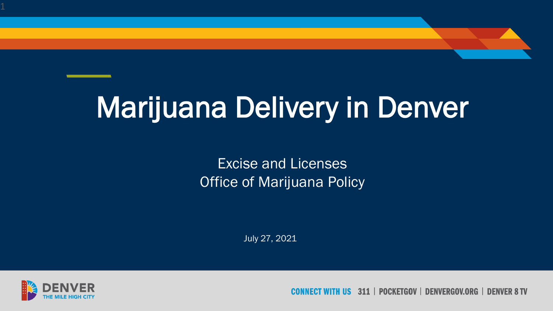## Marijuana Delivery in Denver

Excise and Licenses Office of Marijuana Policy

July 27, 2021



311 | POCKETGOV | DENVERGOV.ORG **IIS DENVER 8 TV**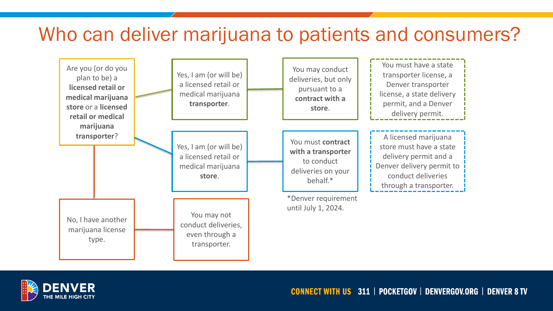#### Who can deliver marijuana to patients and consumers?



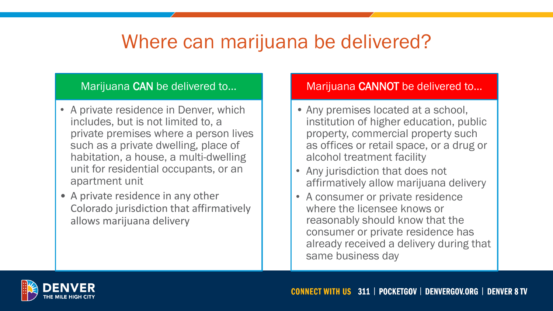### Where can marijuana be delivered?

#### Marijuana CAN be delivered to…

- A private residence in Denver, which includes, but is not limited to, a private premises where a person lives such as a private dwelling, place of habitation, a house, a multi-dwelling unit for residential occupants, or an apartment unit
- A private residence in any other Colorado jurisdiction that affirmatively allows marijuana delivery

#### Marijuana CANNOT be delivered to…

- Any premises located at a school, institution of higher education, public property, commercial property such as offices or retail space, or a drug or alcohol treatment facility
- Any jurisdiction that does not affirmatively allow marijuana delivery
- A consumer or private residence where the licensee knows or reasonably should know that the consumer or private residence has already received a delivery during that same business day

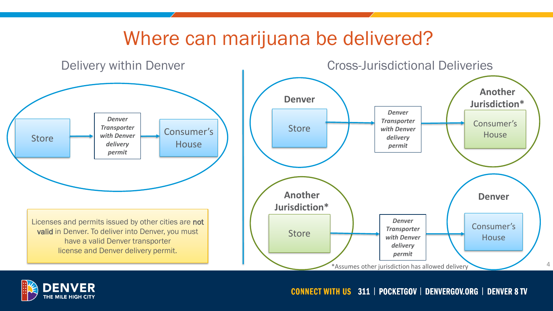### Where can marijuana be delivered?



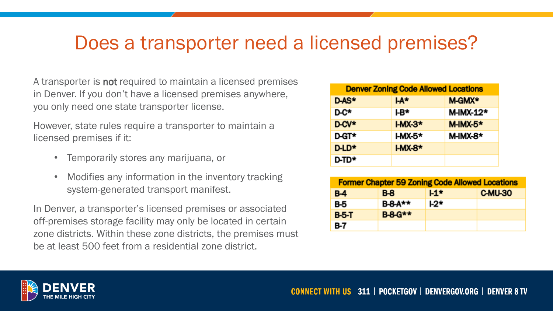### Does a transporter need a licensed premises?

A transporter is not required to maintain a licensed premises in Denver. If you don't have a licensed premises anywhere, you only need one state transporter license.

However, state rules require a transporter to maintain a licensed premises if it:

- Temporarily stores any marijuana, or
- Modifies any information in the inventory tracking system-generated transport manifest.

In Denver, a transporter's licensed premises or associated off-premises storage facility may only be located in certain zone districts. Within these zone districts, the premises must be at least 500 feet from a residential zone district.

| <b>Denver Zoning Code Allowed Locations</b> |                |                    |  |  |
|---------------------------------------------|----------------|--------------------|--|--|
| D-AS*                                       | <b>LA*</b>     | M-GMX <sup>*</sup> |  |  |
| D-C*                                        | ŀB*            | M-IMX-12*          |  |  |
| D-CV*                                       | $HMX-3*$       | <b>M-IMX-5*</b>    |  |  |
| <b>D-GT*</b>                                | <b>I-MX-5*</b> | M-IMX-8*           |  |  |
| D-LD*                                       | $HMX-8*$       |                    |  |  |
| <b>D-TD*</b>                                |                |                    |  |  |

| <b>Former Chapter 59 Zoning Code Allowed Locations</b> |                |       |         |  |  |
|--------------------------------------------------------|----------------|-------|---------|--|--|
| <b>B-4</b>                                             | $B-8$          | $L1*$ | C-MU-30 |  |  |
| B-5                                                    | <b>B-8-A**</b> | $L2*$ |         |  |  |
| <b>B-5-T</b>                                           | <b>B-8-G**</b> |       |         |  |  |
| B-7                                                    |                |       |         |  |  |

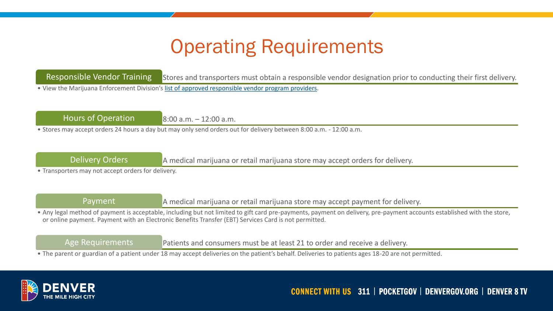### Operating Requirements

Responsible Vendor Training Stores and transporters must obtain a responsible vendor designation prior to conducting their first delivery. • View the Marijuana Enforcement Division's [list of approved responsible vendor program providers.](https://sbg.colorado.gov/med-approved-responsible-vendor-program-providers)

Hours of Operation  $8:00$  a.m.  $-12:00$  a.m.

• Stores may accept orders 24 hours a day but may only send orders out for delivery between 8:00 a.m. - 12:00 a.m.

Delivery Orders **A** medical marijuana or retail marijuana store may accept orders for delivery.

• Transporters may not accept orders for delivery.

Payment A medical marijuana or retail marijuana store may accept payment for delivery.

• Any legal method of payment is acceptable, including but not limited to gift card pre-payments, payment on delivery, pre-payment accounts established with the store, or online payment. Payment with an Electronic Benefits Transfer (EBT) Services Card is not permitted.

Age Requirements **Patients and consumers must be at least 21 to order and receive a delivery.** 

• The parent or guardian of a patient under 18 may accept deliveries on the patient's behalf. Deliveries to patients ages 18-20 are not permitted.

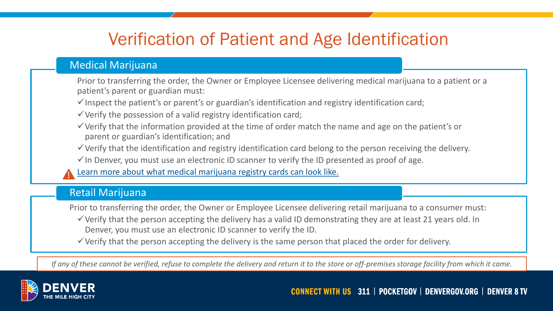#### Verification of Patient and Age Identification

#### Medical Marijuana

Prior to transferring the order, the Owner or Employee Licensee delivering medical marijuana to a patient or a patient's parent or guardian must:

 $\checkmark$  Inspect the patient's or parent's or guardian's identification and registry identification card;

 $\checkmark$  Verify the possession of a valid registry identification card;

- $\checkmark$  Verify that the information provided at the time of order match the name and age on the patient's or parent or guardian's identification; and
- ✓Verify that the identification and registry identification card belong to the person receiving the delivery.
- $\checkmark$  In Denver, you must use an electronic ID scanner to verify the ID presented as proof of age.
- [Learn more about what medical marijuana registry cards can look like.](https://drive.google.com/file/d/1NZERunBdcdYJPNnPfMQ1_UsRzuv5EO4Z/view)

#### Retail Marijuana

Prior to transferring the order, the Owner or Employee Licensee delivering retail marijuana to a consumer must:

 $\checkmark$  Verify that the person accepting the delivery has a valid ID demonstrating they are at least 21 years old. In Denver, you must use an electronic ID scanner to verify the ID.

 $\checkmark$  Verify that the person accepting the delivery is the same person that placed the order for delivery.

*If any of these cannot be verified, refuse to complete the delivery and return it to the store or off-premises storage facility from which it came.*

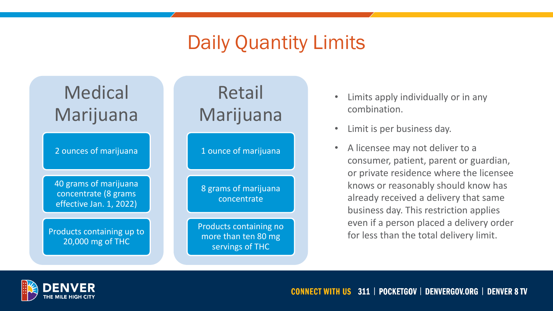### Daily Quantity Limits



- Limits apply individually or in any combination.
- Limit is per business day.
- A licensee may not deliver to a consumer, patient, parent or guardian, or private residence where the licensee knows or reasonably should know has already received a delivery that same business day. This restriction applies even if a person placed a delivery order for less than the total delivery limit.

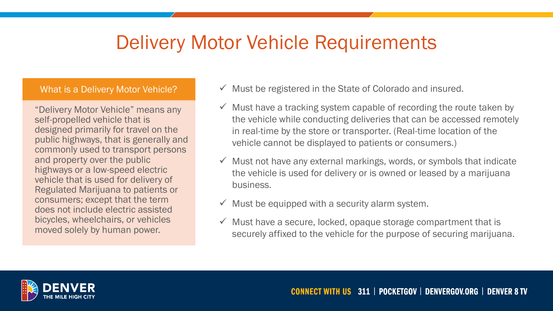### Delivery Motor Vehicle Requirements

#### What is a Delivery Motor Vehicle?

"Delivery Motor Vehicle" means any self-propelled vehicle that is designed primarily for travel on the public highways, that is generally and commonly used to transport persons and property over the public highways or a low-speed electric vehicle that is used for delivery of Regulated Marijuana to patients or consumers; except that the term does not include electric assisted bicycles, wheelchairs, or vehicles moved solely by human power.

- $\checkmark$  Must be registered in the State of Colorado and insured.
- $\checkmark$  Must have a tracking system capable of recording the route taken by the vehicle while conducting deliveries that can be accessed remotely in real-time by the store or transporter. (Real-time location of the vehicle cannot be displayed to patients or consumers.)
- $\checkmark$  Must not have any external markings, words, or symbols that indicate the vehicle is used for delivery or is owned or leased by a marijuana business.
- $\checkmark$  Must be equipped with a security alarm system.
- $\checkmark$  Must have a secure, locked, opaque storage compartment that is securely affixed to the vehicle for the purpose of securing marijuana.

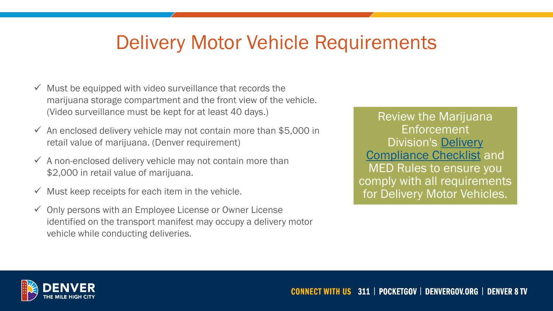### Delivery Motor Vehicle Requirements

- $\checkmark$  Must be equipped with video surveillance that records the marijuana storage compartment and the front view of the vehicle. (Video surveillance must be kept for at least 40 days.)
- $\checkmark$  An enclosed delivery vehicle may not contain more than \$5,000 in retail value of marijuana. (Denver requirement)
- $\checkmark$  A non-enclosed delivery vehicle may not contain more than \$2,000 in retail value of marijuana.
- $\checkmark$  Must keep receipts for each item in the vehicle.
- $\checkmark$  Only persons with an Employee License or Owner License identified on the transport manifest may occupy a delivery motor vehicle while conducting deliveries.

Review the Marijuana Enforcement Division's Delivery [Compliance Checklist](https://drive.google.com/file/d/1HT8Vl8MNGlm-s0NuSjZHhh_nnBaLWPX4/view) and MED Rules to ensure you comply with all requirements for Delivery Motor Vehicles.

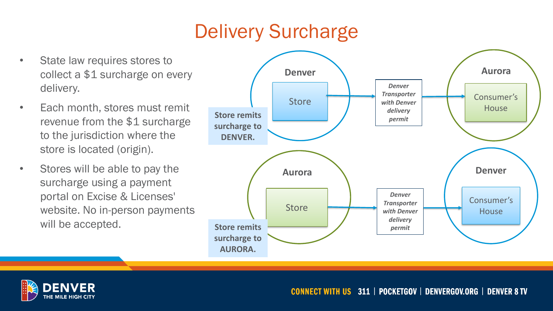### Delivery Surcharge

- State law requires stores to collect a \$1 surcharge on every delivery.
- Each month, stores must remit revenue from the \$1 surcharge to the jurisdiction where the store is located (origin).
- Stores will be able to pay the surcharge using a payment portal on Excise & Licenses' website. No in-person payments will be accepted.



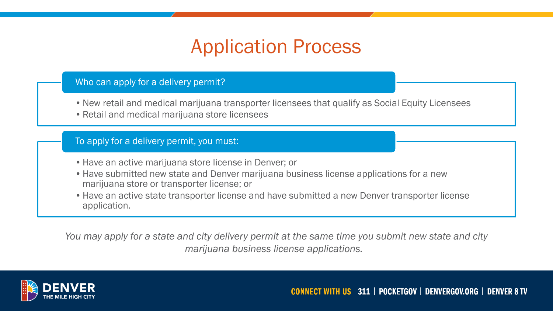### Application Process

#### Who can apply for a delivery permit?

- •New retail and medical marijuana transporter licensees that qualify as Social Equity Licensees
- •Retail and medical marijuana store licensees

To apply for a delivery permit, you must:

- Have an active marijuana store license in Denver; or
- •Have submitted new state and Denver marijuana business license applications for a new marijuana store or transporter license; or
- •Have an active state transporter license and have submitted a new Denver transporter license application.

*You may apply for a state and city delivery permit at the same time you submit new state and city marijuana business license applications.*

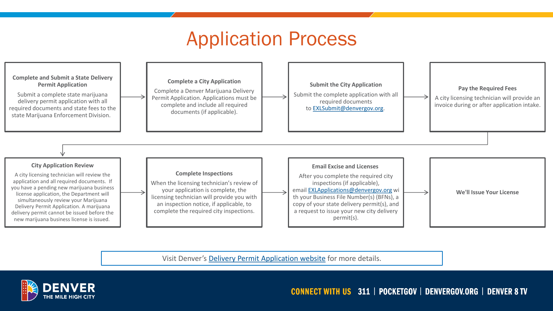#### Application Process



Visit Denver's [Delivery Permit Application website](https://www.denvergov.org/Government/Departments/Business-Licensing/Business-Licenses/Marijuana-Licenses/Delivery-Permit) for more details.

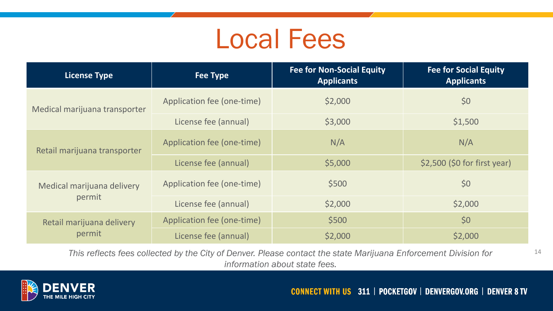## Local Fees

| <b>License Type</b>                  | <b>Fee Type</b>            | <b>Fee for Non-Social Equity</b><br><b>Applicants</b> | <b>Fee for Social Equity</b><br><b>Applicants</b> |
|--------------------------------------|----------------------------|-------------------------------------------------------|---------------------------------------------------|
| Medical marijuana transporter        | Application fee (one-time) | \$2,000                                               | \$0                                               |
|                                      | License fee (annual)       | \$3,000                                               | \$1,500                                           |
| Retail marijuana transporter         | Application fee (one-time) | N/A                                                   | N/A                                               |
|                                      | License fee (annual)       | \$5,000                                               | $$2,500$ (\$0 for first year)                     |
| Medical marijuana delivery<br>permit | Application fee (one-time) | \$500                                                 | \$0                                               |
|                                      | License fee (annual)       | \$2,000                                               | \$2,000                                           |
| Retail marijuana delivery<br>permit  | Application fee (one-time) | \$500                                                 | \$0                                               |
|                                      | License fee (annual)       | \$2,000                                               | \$2,000                                           |

*This reflects fees collected by the City of Denver. Please contact the state Marijuana Enforcement Division for* 14 *information about state fees.* 

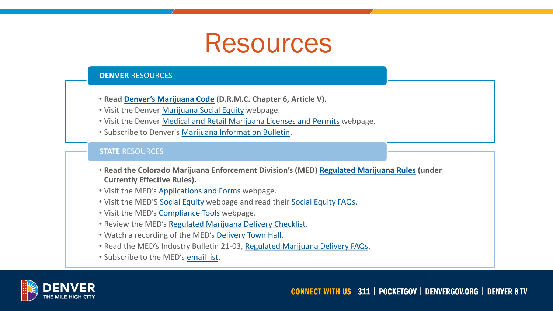## Resources

#### **DENVER** RESOURCES

- **Read [Denver's Marijuana Code](https://library.municode.com/co/denver/codes/code_of_ordinances?nodeId=TITIIREMUCO_CH6ALBECA_ARTVDEMACO_S6-209MASTLI) (D.R.M.C. Chapter 6, Article V).**
- Visit the Denver [Marijuana Social Equity](https://www.denvergov.org/Government/Departments/Marijuana-Information/Social-Equity) webpage.
- Visit the Denver [Medical and Retail Marijuana Licenses and Permits](https://www.denvergov.org/Government/Departments/Business-Licensing/Business-Licenses/Marijuana-Licenses) webpage.
- Subscribe to Denver's [Marijuana Information Bulletin.](https://denvergov.us9.list-manage.com/subscribe?u=1ecf2f6b6d7a4c61a767ba5f5&id=0cc0c4de6f)

#### **STATE** RESOURCES

- **Read the Colorado Marijuana Enforcement Division's (MED) [Regulated Marijuana Rules](https://www.colorado.gov/pacific/enforcement/med-rules) (under Currently Effective Rules).**
- Visit the MED's [Applications and Forms](https://www.colorado.gov/pacific/enforcement/med-applications-and-forms) webpage.
- Visit the MED'S [Social Equity](https://www.colorado.gov/pacific/enforcement/social-equity) webpage and read their [Social Equity FAQs.](https://sbg.colorado.gov/sites/sbg/files/documents/210223 Industry-Wide Bulletin_Social Equity Program_Final.pdf)
- Visit the MED's [Compliance Tools](https://sbg.colorado.gov/compliance-tools) webpage.
- Review the MED's [Regulated Marijuana Delivery Checklist.](https://drive.google.com/file/d/1HT8Vl8MNGlm-s0NuSjZHhh_nnBaLWPX4/view)
- Watch a recording of the MED's [Delivery Town Hall.](https://us02web.zoom.us/rec/play/IMNM5iR6cFCFsKMhhvxbLpqMnhhNsjAu4jeWFDZajKPT-eWCiZl7xDEsmHSKwXPUaGvZlCbu9QHVq97C.EedQNQaRlkqQPLua?continueMode=true&_x_zm_rtaid=HU4GIRNxS8-u42c_10gTzQ.1613082936268.6300a606e6fab3e5c453a39c7c417181&_x_zm_rhtaid=389)
- Read the MED's Industry Bulletin 21-03, [Regulated Marijuana Delivery FAQs](https://sbg.colorado.gov/sites/sbg/files/documents/210223 Industry-Wide Bulletin_Delivery_Final.pdf).
- Subscribe to the MED's [email list.](https://app.getresponse.com/site2/med_stakeholder?u=BNcmV&webforms_id=7485503)

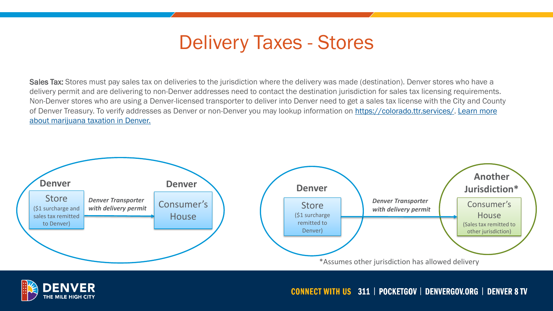### Delivery Taxes - Stores

Sales Tax: Stores must pay sales tax on deliveries to the jurisdiction where the delivery was made (destination). Denver stores who have a delivery permit and are delivering to non-Denver addresses need to contact the destination jurisdiction for sales tax licensing requirements. Non-Denver stores who are using a Denver-licensed transporter to deliver into Denver need to get a sales tax license with the City and County [of Denver Treasury. To verify addresses as Denver or non-Denver you may lookup information on](https://www.denvergov.org/files/assets/public/finance/documents/treasury/tax-guides/taxguidetopic95_marijuanamedicalandretail.pdf) <https://colorado.ttr.services/>. Learn more about marijuana taxation in Denver.



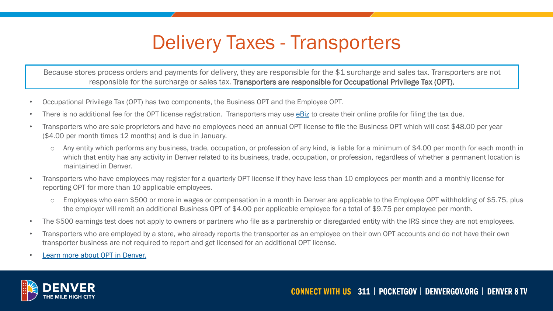### Delivery Taxes - Transporters

Because stores process orders and payments for delivery, they are responsible for the \$1 surcharge and sales tax. Transporters are not responsible for the surcharge or sales tax. Transporters are responsible for Occupational Privilege Tax (OPT).

- Occupational Privilege Tax (OPT) has two components, the Business OPT and the Employee OPT.
- There is no additional fee for the OPT license registration. Transporters may use [eBiz](https://www.denvergov.org/ebiztax/_/) to create their online profile for filing the tax due.
- Transporters who are sole proprietors and have no employees need an annual OPT license to file the Business OPT which will cost \$48.00 per year (\$4.00 per month times 12 months) and is due in January.
	- o Any entity which performs any business, trade, occupation, or profession of any kind, is liable for a minimum of \$4.00 per month for each month in which that entity has any activity in Denver related to its business, trade, occupation, or profession, regardless of whether a permanent location is maintained in Denver.
- Transporters who have employees may register for a quarterly OPT license if they have less than 10 employees per month and a monthly license for reporting OPT for more than 10 applicable employees.
	- Employees who earn \$500 or more in wages or compensation in a month in Denver are applicable to the Employee OPT withholding of \$5.75, plus the employer will remit an additional Business OPT of \$4.00 per applicable employee for a total of \$9.75 per employee per month.
- The \$500 earnings test does not apply to owners or partners who file as a partnership or disregarded entity with the IRS since they are not employees.
- Transporters who are employed by a store, who already reports the transporter as an employee on their own OPT accounts and do not have their own transporter business are not required to report and get licensed for an additional OPT license.
- [Learn more about OPT in Denver.](https://www.denvergov.org/content/dam/denvergov/Portals/571/documents/TaxGuide/TaxGuideTopic61_OccupationalPrivilegeTaxes.pdf)

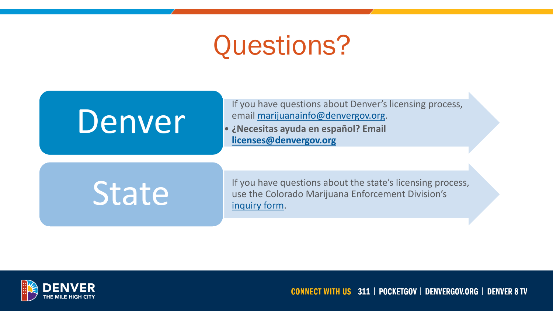## Questions?

# **Denver Email marijuanainfo@denvergov.org.**<br>
• iNecesitas ayuda en español? Email

If you have questions about Denver's licensing process, email [marijuanainfo@denvergov.org.](mailto:marijuanainfo@denvergov.org)

**[licenses@denvergov.org](mailto:licenses@denvergov.org)**

If you have questions about the state's licensing process, State's licensing provise the Colorado Marijuana Enforcement Division's [inquiry form](https://docs.google.com/forms/d/e/1FAIpQLSe8i4v_7fchnCAJFHFpOdR4Ki7xefEpJAmy1osMBPvYo9DViQ/viewform).